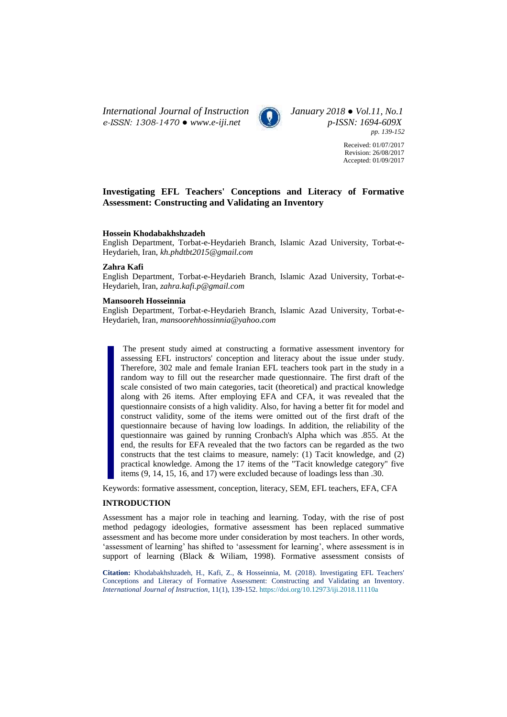*International Journal of Instruction January 2018 ● Vol.11, No.1 e-ISSN: 1308-1470 ● [www.e-iji.net](http://www.e-iji.net/) p-ISSN: 1694-609X*



*pp. 139-152*

Received: 01/07/2017 Revision: 26/08/2017 Accepted: 01/09/2017

# **Investigating EFL Teachers' Conceptions and Literacy of Formative Assessment: Constructing and Validating an Inventory**

#### **Hossein Khodabakhshzadeh**

English Department, Torbat-e-Heydarieh Branch, Islamic Azad University, Torbat-e-Heydarieh, Iran, *kh.phdtbt2015@gmail.com*

#### **Zahra Kafi**

English Department, Torbat-e-Heydarieh Branch, Islamic Azad University, Torbat-e-Heydarieh, Iran, *zahra.kafi.p@gmail.com*

#### **Mansooreh Hosseinnia**

English Department, Torbat-e-Heydarieh Branch, Islamic Azad University, Torbat-e-Heydarieh, Iran*, mansoorehhossinnia@yahoo.com*

The present study aimed at constructing a formative assessment inventory for assessing EFL instructors' conception and literacy about the issue under study. Therefore, 302 male and female Iranian EFL teachers took part in the study in a random way to fill out the researcher made questionnaire. The first draft of the scale consisted of two main categories, tacit (theoretical) and practical knowledge along with 26 items. After employing EFA and CFA, it was revealed that the questionnaire consists of a high validity. Also, for having a better fit for model and construct validity, some of the items were omitted out of the first draft of the questionnaire because of having low loadings. In addition, the reliability of the questionnaire was gained by running Cronbach's Alpha which was .855. At the end, the results for EFA revealed that the two factors can be regarded as the two constructs that the test claims to measure, namely: (1) Tacit knowledge, and (2) practical knowledge. Among the 17 items of the "Tacit knowledge category" five items (9, 14, 15, 16, and 17) were excluded because of loadings less than .30.

Keywords: formative assessment, conception, literacy, SEM, EFL teachers, EFA, CFA

### **INTRODUCTION**

Assessment has a major role in teaching and learning. Today, with the rise of post method pedagogy ideologies, formative assessment has been replaced summative assessment and has become more under consideration by most teachers. In other words, 'assessment of learning' has shifted to 'assessment for learning', where assessment is in support of learning (Black & Wiliam, 1998). Formative assessment consists of

**Citation:** Khodabakhshzadeh, H., Kafi, Z., & Hosseinnia, M. (2018). Investigating EFL Teachers' Conceptions and Literacy of Formative Assessment: Constructing and Validating an Inventory. *International Journal of Instruction*, 11(1), 139-152. <https://doi.org/10.12973/iji.2018.11110a>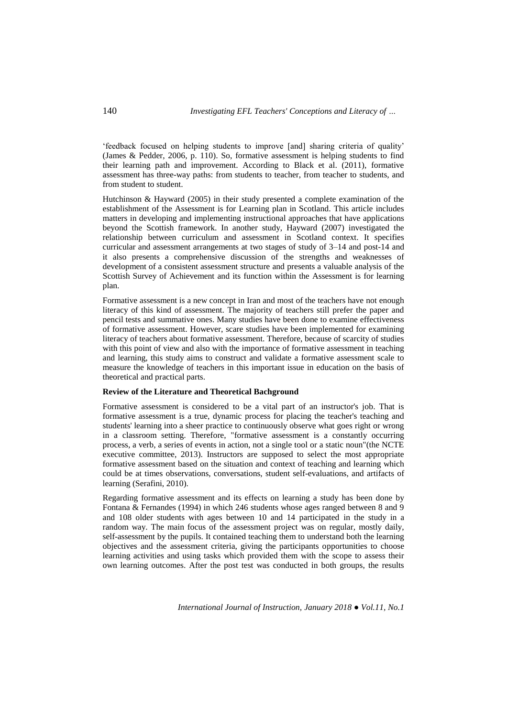'feedback focused on helping students to improve [and] sharing criteria of quality' (James & Pedder, 2006, p. 110). So, formative assessment is helping students to find their learning path and improvement. According to Black et al. (2011), formative assessment has three-way paths: from students to teacher, from teacher to students, and from student to student.

Hutchinson & Hayward (2005) in their study presented a complete examination of the establishment of the Assessment is for Learning plan in Scotland. This article includes matters in developing and implementing instructional approaches that have applications beyond the Scottish framework. In another study, Hayward (2007) investigated the relationship between curriculum and assessment in Scotland context. It specifies curricular and assessment arrangements at two stages of study of 3–14 and post-14 and it also presents a comprehensive discussion of the strengths and weaknesses of development of a consistent assessment structure and presents a valuable analysis of the Scottish Survey of Achievement and its function within the Assessment is for learning plan.

Formative assessment is a new concept in Iran and most of the teachers have not enough literacy of this kind of assessment. The majority of teachers still prefer the paper and pencil tests and summative ones. Many studies have been done to examine effectiveness of formative assessment. However, scare studies have been implemented for examining literacy of teachers about formative assessment. Therefore, because of scarcity of studies with this point of view and also with the importance of formative assessment in teaching and learning, this study aims to construct and validate a formative assessment scale to measure the knowledge of teachers in this important issue in education on the basis of theoretical and practical parts.

#### **Review of the Literature and Theoretical Bachground**

Formative assessment is considered to be a vital part of an instructor's job. That is formative assessment is a true, dynamic process for placing the teacher's teaching and students' learning into a sheer practice to continuously observe what goes right or wrong in a classroom setting. Therefore, "formative assessment is a constantly occurring process, a verb, a series of events in action, not a single tool or a static noun"(the NCTE executive committee, 2013). Instructors are supposed to select the most appropriate formative assessment based on the situation and context of teaching and learning which could be at times observations, conversations, student self-evaluations, and artifacts of learning (Serafini, 2010).

Regarding formative assessment and its effects on learning a study has been done by Fontana & Fernandes (1994) in which 246 students whose ages ranged between 8 and 9 and 108 older students with ages between 10 and 14 participated in the study in a random way. The main focus of the assessment project was on regular, mostly daily, self-assessment by the pupils. It contained teaching them to understand both the learning objectives and the assessment criteria, giving the participants opportunities to choose learning activities and using tasks which provided them with the scope to assess their own learning outcomes. After the post test was conducted in both groups, the results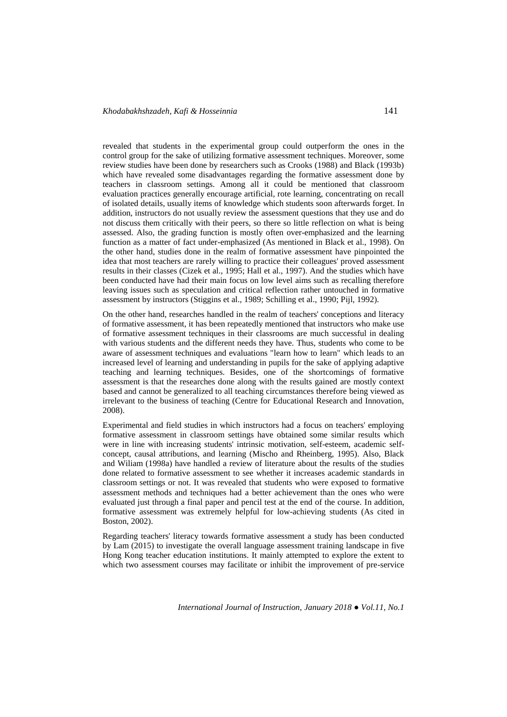revealed that students in the experimental group could outperform the ones in the control group for the sake of utilizing formative assessment techniques. Moreover, some review studies have been done by researchers such as Crooks (1988) and Black (1993b) which have revealed some disadvantages regarding the formative assessment done by teachers in classroom settings. Among all it could be mentioned that classroom evaluation practices generally encourage artificial, rote learning, concentrating on recall of isolated details, usually items of knowledge which students soon afterwards forget. In addition, instructors do not usually review the assessment questions that they use and do not discuss them critically with their peers, so there so little reflection on what is being assessed. Also, the grading function is mostly often over-emphasized and the learning function as a matter of fact under-emphasized (As mentioned in Black et al., 1998). On the other hand, studies done in the realm of formative assessment have pinpointed the idea that most teachers are rarely willing to practice their colleagues' proved assessment results in their classes (Cizek et al., 1995; Hall et al., 1997). And the studies which have been conducted have had their main focus on low level aims such as recalling therefore leaving issues such as speculation and critical reflection rather untouched in formative assessment by instructors (Stiggins et al., 1989; Schilling et al., 1990; Pijl, 1992).

On the other hand, researches handled in the realm of teachers' conceptions and literacy of formative assessment, it has been repeatedly mentioned that instructors who make use of formative assessment techniques in their classrooms are much successful in dealing with various students and the different needs they have. Thus, students who come to be aware of assessment techniques and evaluations "learn how to learn" which leads to an increased level of learning and understanding in pupils for the sake of applying adaptive teaching and learning techniques. Besides, one of the shortcomings of formative assessment is that the researches done along with the results gained are mostly context based and cannot be generalized to all teaching circumstances therefore being viewed as irrelevant to the business of teaching (Centre for Educational Research and Innovation, 2008).

Experimental and field studies in which instructors had a focus on teachers' employing formative assessment in classroom settings have obtained some similar results which were in line with increasing students' intrinsic motivation, self-esteem, academic selfconcept, causal attributions, and learning (Mischo and Rheinberg, 1995). Also, Black and Wiliam (1998a) have handled a review of literature about the results of the studies done related to formative assessment to see whether it increases academic standards in classroom settings or not. It was revealed that students who were exposed to formative assessment methods and techniques had a better achievement than the ones who were evaluated just through a final paper and pencil test at the end of the course. In addition, formative assessment was extremely helpful for low-achieving students (As cited in Boston, 2002).

Regarding teachers' literacy towards formative assessment a study has been conducted by Lam (2015) to investigate the overall language assessment training landscape in five Hong Kong teacher education institutions. It mainly attempted to explore the extent to which two assessment courses may facilitate or inhibit the improvement of pre-service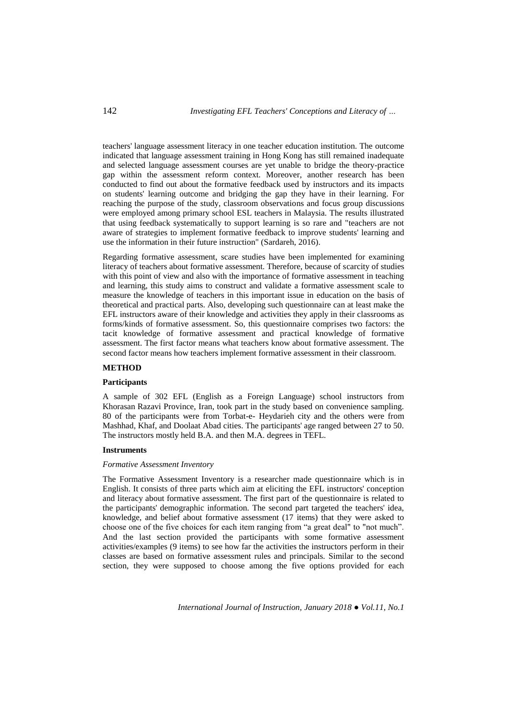teachers' language assessment literacy in one teacher education institution. The outcome indicated that language assessment training in Hong Kong has still remained inadequate and selected language assessment courses are yet unable to bridge the theory-practice gap within the assessment reform context. Moreover, another research has been conducted to find out about the formative feedback used by instructors and its impacts on students' learning outcome and bridging the gap they have in their learning. For reaching the purpose of the study, classroom observations and focus group discussions were employed among primary school ESL teachers in Malaysia. The results illustrated that using feedback systematically to support learning is so rare and "teachers are not aware of strategies to implement formative feedback to improve students' learning and use the information in their future instruction" (Sardareh, 2016).

Regarding formative assessment, scare studies have been implemented for examining literacy of teachers about formative assessment. Therefore, because of scarcity of studies with this point of view and also with the importance of formative assessment in teaching and learning, this study aims to construct and validate a formative assessment scale to measure the knowledge of teachers in this important issue in education on the basis of theoretical and practical parts. Also, developing such questionnaire can at least make the EFL instructors aware of their knowledge and activities they apply in their classrooms as forms/kinds of formative assessment. So, this questionnaire comprises two factors: the tacit knowledge of formative assessment and practical knowledge of formative assessment. The first factor means what teachers know about formative assessment. The second factor means how teachers implement formative assessment in their classroom.

## **METHOD**

#### **Participants**

A sample of 302 EFL (English as a Foreign Language) school instructors from Khorasan Razavi Province, Iran, took part in the study based on convenience sampling. 80 of the participants were from Torbat-e- Heydarieh city and the others were from Mashhad, Khaf, and Doolaat Abad cities. The participants' age ranged between 27 to 50. The instructors mostly held B.A. and then M.A. degrees in TEFL.

### **Instruments**

### *Formative Assessment Inventory*

The Formative Assessment Inventory is a researcher made questionnaire which is in English. It consists of three parts which aim at eliciting the EFL instructors' conception and literacy about formative assessment. The first part of the questionnaire is related to the participants' demographic information. The second part targeted the teachers' idea, knowledge, and belief about formative assessment (17 items) that they were asked to choose one of the five choices for each item ranging from "a great deal" to "not much". And the last section provided the participants with some formative assessment activities/examples (9 items) to see how far the activities the instructors perform in their classes are based on formative assessment rules and principals. Similar to the second section, they were supposed to choose among the five options provided for each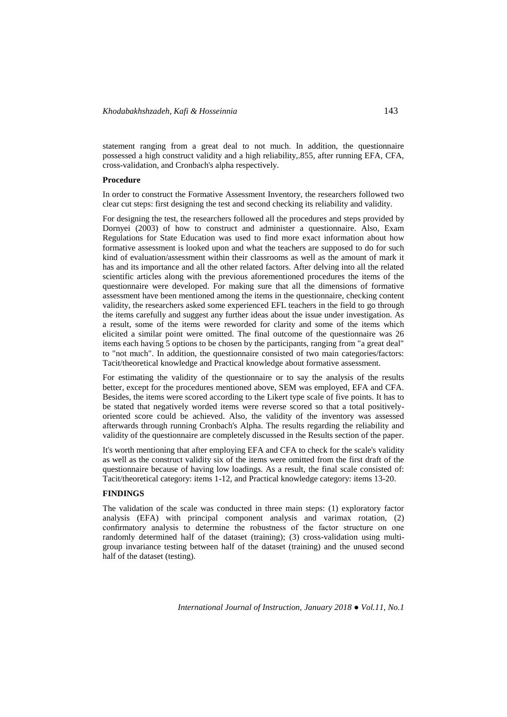statement ranging from a great deal to not much. In addition, the questionnaire possessed a high construct validity and a high reliability,.855, after running EFA, CFA, cross-validation, and Cronbach's alpha respectively.

#### **Procedure**

In order to construct the Formative Assessment Inventory, the researchers followed two clear cut steps: first designing the test and second checking its reliability and validity.

For designing the test, the researchers followed all the procedures and steps provided by Dornyei (2003) of how to construct and administer a questionnaire. Also, Exam Regulations for State Education was used to find more exact information about how formative assessment is looked upon and what the teachers are supposed to do for such kind of evaluation/assessment within their classrooms as well as the amount of mark it has and its importance and all the other related factors. After delving into all the related scientific articles along with the previous aforementioned procedures the items of the questionnaire were developed. For making sure that all the dimensions of formative assessment have been mentioned among the items in the questionnaire, checking content validity, the researchers asked some experienced EFL teachers in the field to go through the items carefully and suggest any further ideas about the issue under investigation. As a result, some of the items were reworded for clarity and some of the items which elicited a similar point were omitted. The final outcome of the questionnaire was 26 items each having 5 options to be chosen by the participants, ranging from "a great deal" to "not much". In addition, the questionnaire consisted of two main categories/factors: Tacit/theoretical knowledge and Practical knowledge about formative assessment.

For estimating the validity of the questionnaire or to say the analysis of the results better, except for the procedures mentioned above, SEM was employed, EFA and CFA. Besides, the items were scored according to the Likert type scale of five points. It has to be stated that negatively worded items were reverse scored so that a total positivelyoriented score could be achieved. Also, the validity of the inventory was assessed afterwards through running Cronbach's Alpha. The results regarding the reliability and validity of the questionnaire are completely discussed in the Results section of the paper.

It's worth mentioning that after employing EFA and CFA to check for the scale's validity as well as the construct validity six of the items were omitted from the first draft of the questionnaire because of having low loadings. As a result, the final scale consisted of: Tacit/theoretical category: items 1-12, and Practical knowledge category: items 13-20.

## **FINDINGS**

The validation of the scale was conducted in three main steps: (1) exploratory factor analysis (EFA) with principal component analysis and varimax rotation, (2) confirmatory analysis to determine the robustness of the factor structure on one randomly determined half of the dataset (training); (3) cross-validation using multigroup invariance testing between half of the dataset (training) and the unused second half of the dataset (testing).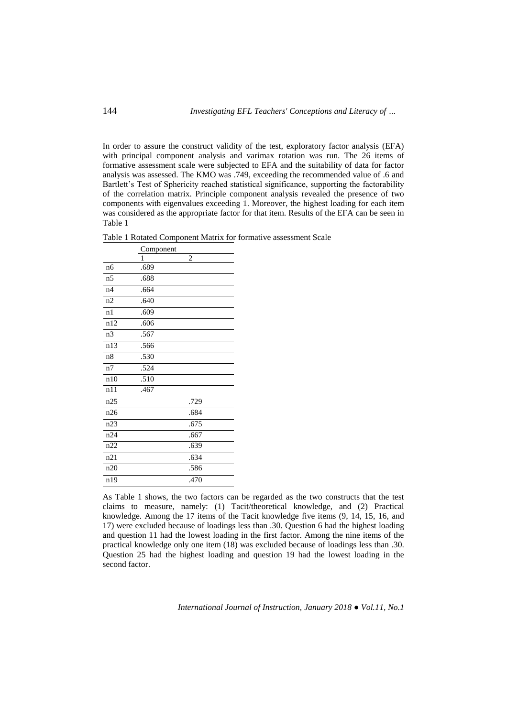In order to assure the construct validity of the test, exploratory factor analysis (EFA) with principal component analysis and varimax rotation was run. The 26 items of formative assessment scale were subjected to EFA and the suitability of data for factor analysis was assessed. The KMO was .749, exceeding the recommended value of .6 and Bartlett's Test of Sphericity reached statistical significance, supporting the factorability of the correlation matrix. Principle component analysis revealed the presence of two components with eigenvalues exceeding 1. Moreover, the highest loading for each item was considered as the appropriate factor for that item. Results of the EFA can be seen in Table 1

Table 1 Rotated Component Matrix for formative assessment Scale

|                  | Component |                |
|------------------|-----------|----------------|
|                  | 1         | $\overline{2}$ |
| n6               | .689      |                |
| n <sub>5</sub>   | .688      |                |
| n4               | .664      |                |
| n2               | .640      |                |
| n <sub>1</sub>   | .609      |                |
| n12              | .606      |                |
| n <sub>3</sub>   | .567      |                |
| n13              | .566      |                |
| n8               | .530      |                |
| n7               | .524      |                |
| n10              | .510      |                |
| n11              | .467      |                |
| n25              |           | .729           |
| n26              |           | .684           |
| n23              |           | .675           |
| $\overline{n24}$ |           | .667           |
| n22              |           | .639           |
| n21              |           | .634           |
| n20              |           | .586           |
| n19              |           | .470           |
|                  |           |                |

As Table 1 shows, the two factors can be regarded as the two constructs that the test claims to measure, namely: (1) Tacit/theoretical knowledge, and (2) Practical knowledge. Among the 17 items of the Tacit knowledge five items (9, 14, 15, 16, and 17) were excluded because of loadings less than .30. Question 6 had the highest loading and question 11 had the lowest loading in the first factor. Among the nine items of the practical knowledge only one item (18) was excluded because of loadings less than .30. Question 25 had the highest loading and question 19 had the lowest loading in the second factor.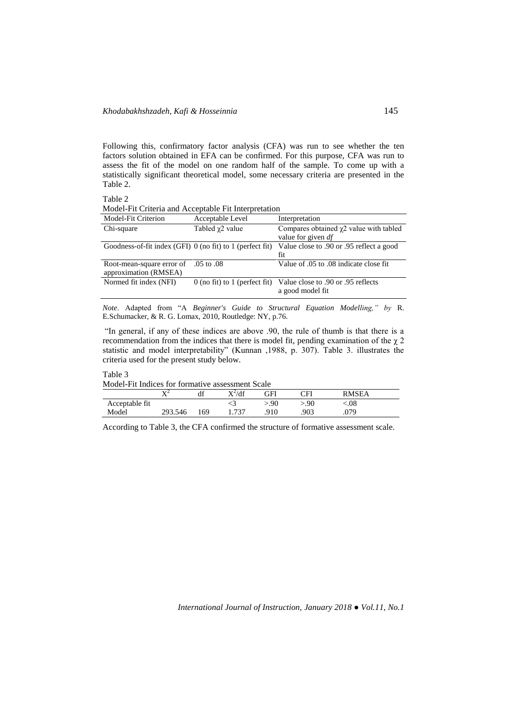Following this, confirmatory factor analysis (CFA) was run to see whether the ten factors solution obtained in EFA can be confirmed. For this purpose, CFA was run to assess the fit of the model on one random half of the sample. To come up with a statistically significant theoretical model, some necessary criteria are presented in the Table 2.

Table 2 Model-Fit Criteria and Acceptable Fit Interpretation

Table 3

| Model-Fit Criterion                                         | Acceptable Level      | Interpretation                                                                         |
|-------------------------------------------------------------|-----------------------|----------------------------------------------------------------------------------------|
| Chi-square                                                  | Tabled $\chi$ 2 value | Compares obtained $\chi$ 2 value with tabled<br>value for given df                     |
| Goodness-of-fit index (GFI) $0$ (no fit) to 1 (perfect fit) |                       | Value close to .90 or .95 reflect a good<br>fit                                        |
| Root-mean-square error of<br>approximation (RMSEA)          | .05 to .08            | Value of 0.05 to 0.08 indicate close fit                                               |
| Normed fit index (NFI)                                      |                       | $0$ (no fit) to 1 (perfect fit) Value close to .90 or .95 reflects<br>a good model fit |

*Note*. Adapted from "A *Beginner's Guide to Structural Equation Modelling," by* R. E.Schumacker, & R. G. Lomax, 2010, Routledge: NY, p.76.

"In general, if any of these indices are above .90, the rule of thumb is that there is a recommendation from the indices that there is model fit, pending examination of the  $\chi$  2 statistic and model interpretability" (Kunnan ,1988, p. 307). Table 3. illustrates the criteria used for the present study below.

| Model-Fit Indices for formative assessment Scale |         |     |       |      |      |      |  |  |
|--------------------------------------------------|---------|-----|-------|------|------|------|--|--|
| $X^2/df$<br>GFI<br>∩FI<br><b>RMSEA</b>           |         |     |       |      |      |      |  |  |
| Acceptable fit                                   |         |     |       | > 90 | > 90 | &0.< |  |  |
| Model                                            | 293.546 | 169 | 1 737 | 910  | 903  | .079 |  |  |

According to Table 3, the CFA confirmed the structure of formative assessment scale.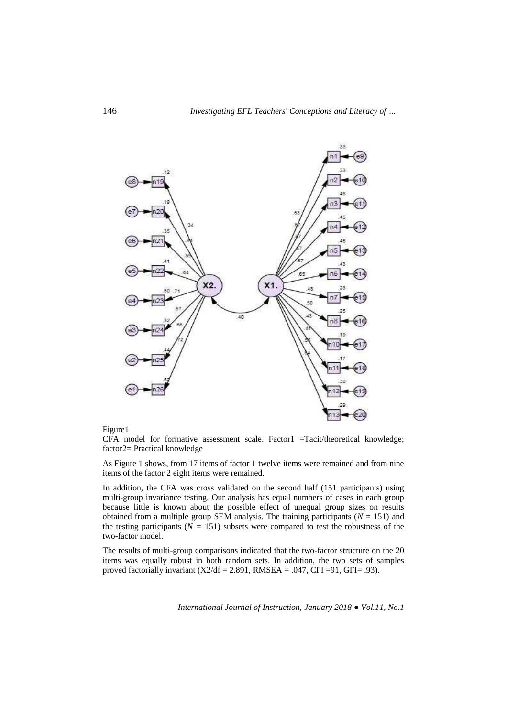

#### Figure1

CFA model for formative assessment scale. Factor1 =Tacit/theoretical knowledge; factor2= Practical knowledge

As Figure 1 shows, from 17 items of factor 1 twelve items were remained and from nine items of the factor 2 eight items were remained.

In addition, the CFA was cross validated on the second half (151 participants) using multi-group invariance testing. Our analysis has equal numbers of cases in each group because little is known about the possible effect of unequal group sizes on results obtained from a multiple group SEM analysis. The training participants ( $N = 151$ ) and the testing participants ( $N = 151$ ) subsets were compared to test the robustness of the two-factor model.

The results of multi-group comparisons indicated that the two-factor structure on the 20 items was equally robust in both random sets. In addition, the two sets of samples proved factorially invariant  $(X2/df = 2.891, RMSEA = .047, CFI = 91, GFI = .93)$ .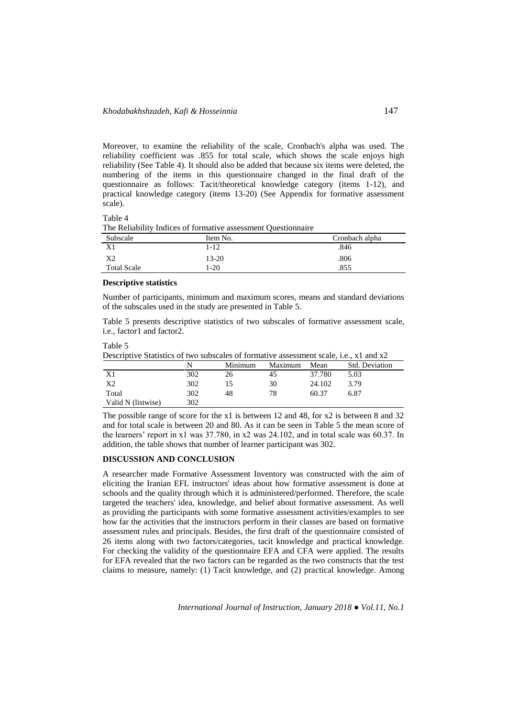Moreover, to examine the reliability of the scale, Cronbach's alpha was used. The reliability coefficient was .855 for total scale, which shows the scale enjoys high reliability (See Table 4). It should also be added that because six items were deleted, the numbering of the items in this questionnaire changed in the final draft of the questionnaire as follows: Tacit/theoretical knowledge category (items 1-12), and practical knowledge category (items 13-20) (See Appendix for formative assessment scale).

Table 4

The Reliability Indices of formative assessment Questionnaire

| Subscale           | Item No.  | Cronbach alpha |
|--------------------|-----------|----------------|
| X1                 | 1-12      | .846           |
| X2                 | $13 - 20$ | .806           |
| <b>Total Scale</b> | l-20      | .855           |

### **Descriptive statistics**

Number of participants, minimum and maximum scores, means and standard deviations of the subscales used in the study are presented in Table 5.

Table 5 presents descriptive statistics of two subscales of formative assessment scale, i.e., factor1 and factor2.

Table 5 Descriptive Statistics of two subscales of formative assessment scale, i.e., x1 and x2 N Minimum Maximum Mean Std. Deviation X1 302 26 45 37.780 5.03 X2 302 15 30 24.102 3.79 Total 302 48 78 60.37 6.87

The possible range of score for the x1 is between 12 and 48, for x2 is between 8 and 32 and for total scale is between 20 and 80. As it can be seen in Table 5 the mean score of the learners' report in x1 was 37.780, in x2 was 24.102, and in total scale was 60.37. In addition, the table shows that number of learner participant was 302.

#### **DISCUSSION AND CONCLUSION**

Valid N (listwise) 302

A researcher made Formative Assessment Inventory was constructed with the aim of eliciting the Iranian EFL instructors' ideas about how formative assessment is done at schools and the quality through which it is administered/performed. Therefore, the scale targeted the teachers' idea, knowledge, and belief about formative assessment. As well as providing the participants with some formative assessment activities/examples to see how far the activities that the instructors perform in their classes are based on formative assessment rules and principals. Besides, the first draft of the questionnaire consisted of 26 items along with two factors/categories, tacit knowledge and practical knowledge. For checking the validity of the questionnaire EFA and CFA were applied. The results for EFA revealed that the two factors can be regarded as the two constructs that the test claims to measure, namely: (1) Tacit knowledge, and (2) practical knowledge. Among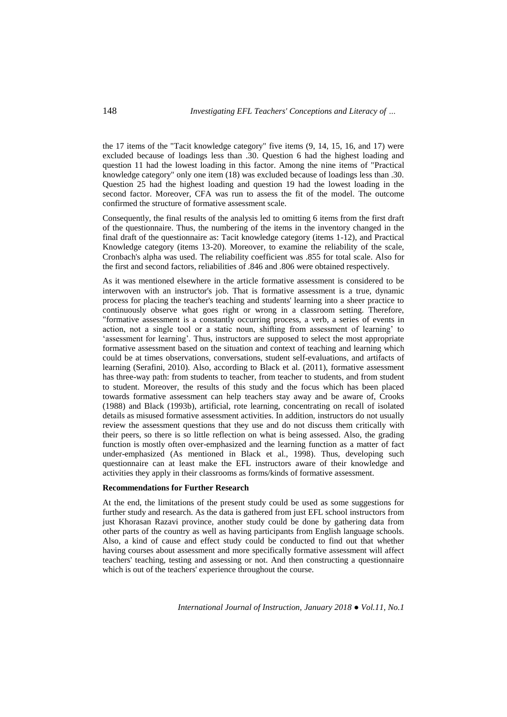the 17 items of the "Tacit knowledge category" five items (9, 14, 15, 16, and 17) were excluded because of loadings less than .30. Question 6 had the highest loading and question 11 had the lowest loading in this factor. Among the nine items of "Practical knowledge category" only one item (18) was excluded because of loadings less than .30. Question 25 had the highest loading and question 19 had the lowest loading in the second factor. Moreover, CFA was run to assess the fit of the model. The outcome confirmed the structure of formative assessment scale.

Consequently, the final results of the analysis led to omitting 6 items from the first draft of the questionnaire. Thus, the numbering of the items in the inventory changed in the final draft of the questionnaire as: Tacit knowledge category (items 1-12), and Practical Knowledge category (items 13-20). Moreover, to examine the reliability of the scale, Cronbach's alpha was used. The reliability coefficient was .855 for total scale. Also for the first and second factors, reliabilities of .846 and .806 were obtained respectively.

As it was mentioned elsewhere in the article formative assessment is considered to be interwoven with an instructor's job. That is formative assessment is a true, dynamic process for placing the teacher's teaching and students' learning into a sheer practice to continuously observe what goes right or wrong in a classroom setting. Therefore, "formative assessment is a constantly occurring process, a verb, a series of events in action, not a single tool or a static noun, shifting from assessment of learning' to 'assessment for learning'. Thus, instructors are supposed to select the most appropriate formative assessment based on the situation and context of teaching and learning which could be at times observations, conversations, student self-evaluations, and artifacts of learning (Serafini, 2010). Also, according to Black et al. (2011), formative assessment has three-way path: from students to teacher, from teacher to students, and from student to student. Moreover, the results of this study and the focus which has been placed towards formative assessment can help teachers stay away and be aware of, Crooks (1988) and Black (1993b), artificial, rote learning, concentrating on recall of isolated details as misused formative assessment activities. In addition, instructors do not usually review the assessment questions that they use and do not discuss them critically with their peers, so there is so little reflection on what is being assessed. Also, the grading function is mostly often over-emphasized and the learning function as a matter of fact under-emphasized (As mentioned in Black et al., 1998). Thus, developing such questionnaire can at least make the EFL instructors aware of their knowledge and activities they apply in their classrooms as forms/kinds of formative assessment.

## **Recommendations for Further Research**

At the end, the limitations of the present study could be used as some suggestions for further study and research. As the data is gathered from just EFL school instructors from just Khorasan Razavi province, another study could be done by gathering data from other parts of the country as well as having participants from English language schools. Also, a kind of cause and effect study could be conducted to find out that whether having courses about assessment and more specifically formative assessment will affect teachers' teaching, testing and assessing or not. And then constructing a questionnaire which is out of the teachers' experience throughout the course.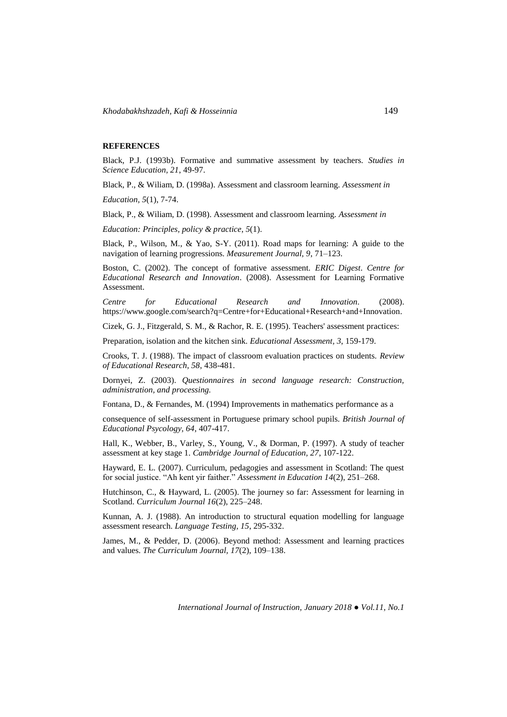### **REFERENCES**

Black, P.J. (1993b). Formative and summative assessment by teachers. *Studies in Science Education, 21*, 49-97.

Black, P., & Wiliam, D. (1998a). Assessment and classroom learning. *Assessment in*

*Education, 5*(1), 7-74.

Black, P., & Wiliam, D. (1998). Assessment and classroom learning. *Assessment in* 

*Education: Principles, policy & practice*, *5*(1).

Black, P., Wilson, M., & Yao, S-Y. (2011). Road maps for learning: A guide to the navigation of learning progressions. *Measurement Journal, 9*, 71–123.

Boston, C. (2002). The concept of formative assessment. *ERIC Digest*. *Centre for Educational Research and Innovation*. (2008). Assessment for Learning Formative Assessment.

*Centre for Educational Research and Innovation*. (2008). https://www.google.com/search?q=Centre+for+Educational+Research+and+Innovation.

Cizek, G. J., Fitzgerald, S. M., & Rachor, R. E. (1995). Teachers' assessment practices:

Preparation, isolation and the kitchen sink. *Educational Assessment, 3*, 159-179.

Crooks, T. J. (1988). The impact of classroom evaluation practices on students. *Review of Educational Research, 58*, 438-481.

Dornyei, Z. (2003). *Questionnaires in second language research: Construction, administration, and processing.*

Fontana, D., & Fernandes, M. (1994) Improvements in mathematics performance as a

consequence of self-assessment in Portuguese primary school pupils. *British Journal of Educational Psycology, 64*, 407-417.

Hall, K., Webber, B., Varley, S., Young, V., & Dorman, P. (1997). A study of teacher assessment at key stage 1. *Cambridge Journal of Education, 27*, 107-122.

Hayward, E. L. (2007). Curriculum, pedagogies and assessment in Scotland: The quest for social justice. "Ah kent yir faither." *Assessment in Education 14*(2), 251–268.

Hutchinson, C., & Hayward, L. (2005). The journey so far: Assessment for learning in Scotland. *Curriculum Journal 16*(2), 225–248.

Kunnan, A. J. (1988). An introduction to structural equation modelling for language assessment research. *Language Testing, 15*, 295-332.

James, M., & Pedder, D. (2006). Beyond method: Assessment and learning practices and values. *The Curriculum Journal, 17*(2), 109–138.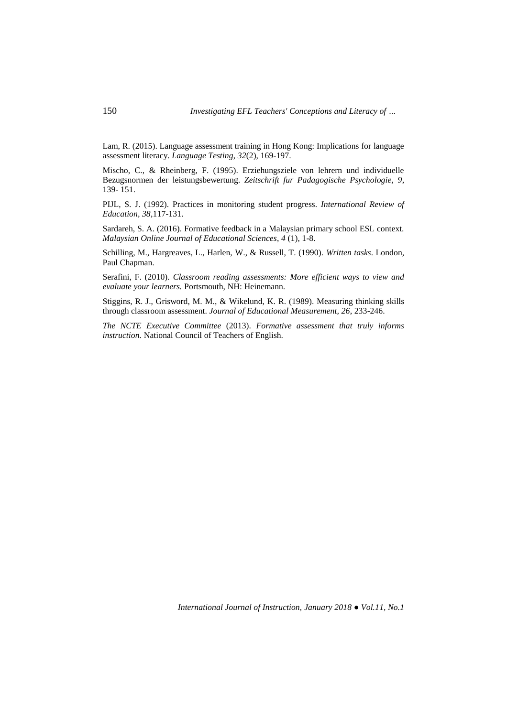Lam, R. (2015). Language assessment training in Hong Kong: Implications for language assessment literacy. *Language Testing*, *32*(2), 169-197.

Mischo, C., & Rheinberg, F. (1995). Erziehungsziele von lehrern und individuelle Bezugsnormen der leistungsbewertung. *Zeitschrift fur Padagogische Psychologie, 9*, 139- 151.

PIJL, S. J. (1992). Practices in monitoring student progress. *International Review of Education, 38*,117-131.

Sardareh, S. A. (2016). Formative feedback in a Malaysian primary school ESL context. *Malaysian Online Journal of Educational Sciences*, *4* (1), 1-8.

Schilling, M., Hargreaves, L., Harlen, W., & Russell, T. (1990). *Written tasks*. London, Paul Chapman.

Serafini, F. (2010). *Classroom reading assessments: More efficient ways to view and evaluate your learners.* Portsmouth, NH: Heinemann.

Stiggins, R. J., Grisword, M. M., & Wikelund, K. R. (1989). Measuring thinking skills through classroom assessment. *Journal of Educational Measurement, 26*, 233-246.

*The NCTE Executive Committee* (2013). *Formative assessment that truly informs instruction.* National Council of Teachers of English.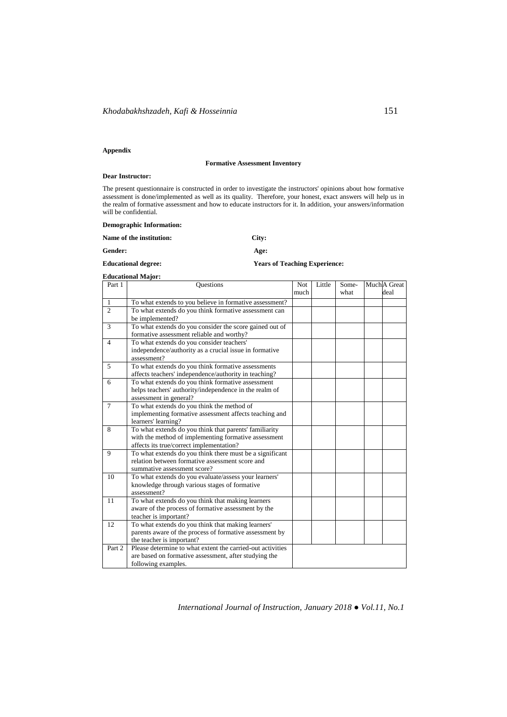# *Khodabakhshzadeh, Kafi & Hosseinnia* 151

#### **Appendix**

## **Formative Assessment Inventory**

#### **Dear Instructor:**

The present questionnaire is constructed in order to investigate the instructors' opinions about how formative assessment is done/implemented as well as its quality. Therefore, your honest, exact answers will help us in the realm of formative assessment and how to educate instructors for it. In addition, your answers/information will be confidential.

#### **Demographic Information:**

| <b>Name of the institution:</b> | City: |
|---------------------------------|-------|
|---------------------------------|-------|

**Gender: Age:**

## **Educational degree: Years of Teaching Experience:**

**Educational Major:**

| Part 1         | <b>Questions</b>                                                                                                                                           | Not<br>much | Little | Some-<br>what | MuchA Great<br>deal |
|----------------|------------------------------------------------------------------------------------------------------------------------------------------------------------|-------------|--------|---------------|---------------------|
| $\mathbf{1}$   | To what extends to you believe in formative assessment?                                                                                                    |             |        |               |                     |
| $\overline{2}$ | To what extends do you think formative assessment can<br>be implemented?                                                                                   |             |        |               |                     |
| 3              | To what extends do you consider the score gained out of<br>formative assessment reliable and worthy?                                                       |             |        |               |                     |
| $\overline{4}$ | To what extends do you consider teachers'<br>independence/authority as a crucial issue in formative<br>assessment?                                         |             |        |               |                     |
| 5              | To what extends do you think formative assessments<br>affects teachers' independence/authority in teaching?                                                |             |        |               |                     |
| 6              | To what extends do you think formative assessment<br>helps teachers' authority/independence in the realm of<br>assessment in general?                      |             |        |               |                     |
| $\tau$         | To what extends do you think the method of<br>implementing formative assessment affects teaching and<br>learners' learning?                                |             |        |               |                     |
| 8              | To what extends do you think that parents' familiarity<br>with the method of implementing formative assessment<br>affects its true/correct implementation? |             |        |               |                     |
| 9              | To what extends do you think there must be a significant<br>relation between formative assessment score and<br>summative assessment score?                 |             |        |               |                     |
| 10             | To what extends do you evaluate/assess your learners'<br>knowledge through various stages of formative<br>assessment?                                      |             |        |               |                     |
| 11             | To what extends do you think that making learners<br>aware of the process of formative assessment by the<br>teacher is important?                          |             |        |               |                     |
| 12             | To what extends do you think that making learners'<br>parents aware of the process of formative assessment by<br>the teacher is important?                 |             |        |               |                     |
| Part 2         | Please determine to what extent the carried-out activities<br>are based on formative assessment, after studying the<br>following examples.                 |             |        |               |                     |